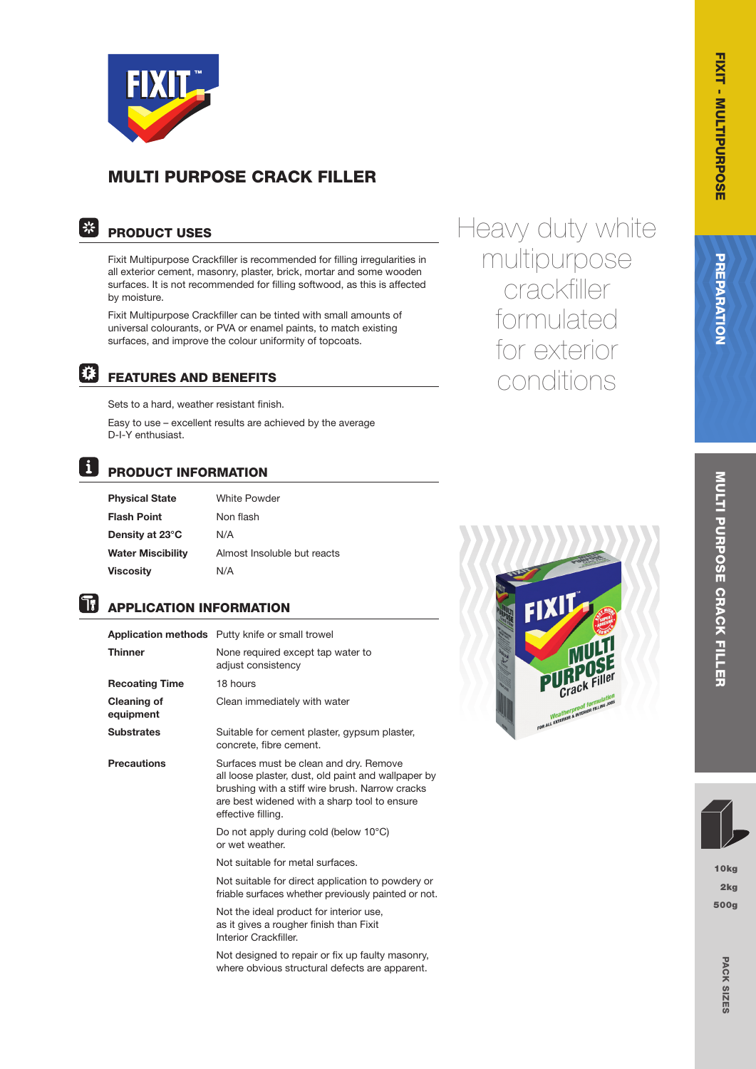

# MULTI PURPOSE CRACK FILLER

#### | ※ PRODUCT USES

Fixit Multipurpose Crackfiller is recommended for filling irregularities in all exterior cement, masonry, plaster, brick, mortar and some wooden surfaces. It is not recommended for filling softwood, as this is affected by moisture.

Fixit Multipurpose Crackfiller can be tinted with small amounts of universal colourants, or PVA or enamel paints, to match existing surfaces, and improve the colour uniformity of topcoats.



# FEATURES AND BENEFITS

Sets to a hard, weather resistant finish.

Easy to use – excellent results are achieved by the average D-I-Y enthusiast.

#### $\mathbf{i}$ PRODUCT INFORMATION

| <b>Physical State</b>    |   |
|--------------------------|---|
| <b>Flash Point</b>       |   |
| Density at 23°C          |   |
| <b>Water Miscibility</b> | Í |
| <b>Viscosity</b>         |   |

White Powder Non flash  $N/A$ Almost Insoluble but reacts  $N/A$ 

#### h. APPLICATION INFORMATION

| <b>Application methods</b> Putty knife or small trowel                                                                                                                                                                 |
|------------------------------------------------------------------------------------------------------------------------------------------------------------------------------------------------------------------------|
| None required except tap water to<br>adjust consistency                                                                                                                                                                |
| 18 hours                                                                                                                                                                                                               |
| Clean immediately with water                                                                                                                                                                                           |
| Suitable for cement plaster, gypsum plaster,<br>concrete, fibre cement.                                                                                                                                                |
| Surfaces must be clean and dry. Remove<br>all loose plaster, dust, old paint and wallpaper by<br>brushing with a stiff wire brush. Narrow cracks<br>are best widened with a sharp tool to ensure<br>effective filling. |
| Do not apply during cold (below $10^{\circ}$ C)<br>or wet weather.                                                                                                                                                     |
| Not suitable for metal surfaces.                                                                                                                                                                                       |
| Not suitable for direct application to powdery or<br>friable surfaces whether previously painted or not.                                                                                                               |
| Not the ideal product for interior use,<br>as it gives a rougher finish than Fixit<br>Interior Crackfiller.                                                                                                            |
| Not designed to repair or fix up faulty masonry,<br>where obvious structural defects are apparent.                                                                                                                     |
|                                                                                                                                                                                                                        |



Heavy duty white

multipurpose

crackfiller

formulated

for exterior

conditions